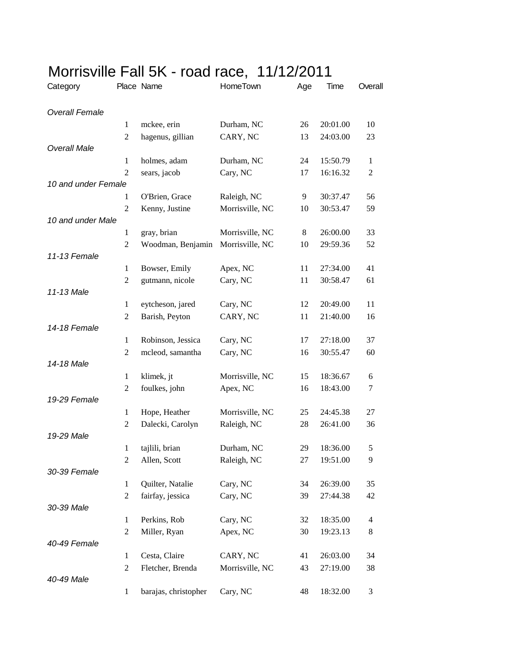| Category              |                | Place Name           | HomeTown        | Age | Time     | Overall        |
|-----------------------|----------------|----------------------|-----------------|-----|----------|----------------|
| <b>Overall Female</b> |                |                      |                 |     |          |                |
|                       | $\mathbf{1}$   | mckee, erin          | Durham, NC      | 26  | 20:01.00 | 10             |
|                       | $\mathfrak{2}$ | hagenus, gillian     | CARY, NC        | 13  | 24:03.00 | 23             |
| <b>Overall Male</b>   |                |                      |                 |     |          |                |
|                       | $\mathbf{1}$   | holmes, adam         | Durham, NC      | 24  | 15:50.79 | $\mathbf{1}$   |
|                       | $\overline{2}$ | sears, jacob         | Cary, NC        | 17  | 16:16.32 | $\mathfrak{2}$ |
| 10 and under Female   |                |                      |                 |     |          |                |
|                       | $\mathbf{1}$   | O'Brien, Grace       | Raleigh, NC     | 9   | 30:37.47 | 56             |
|                       | $\overline{2}$ | Kenny, Justine       | Morrisville, NC | 10  | 30:53.47 | 59             |
| 10 and under Male     |                |                      |                 |     |          |                |
|                       | $\mathbf{1}$   | gray, brian          | Morrisville, NC | 8   | 26:00.00 | 33             |
|                       | $\overline{2}$ | Woodman, Benjamin    | Morrisville, NC | 10  | 29:59.36 | 52             |
| 11-13 Female          |                |                      |                 |     |          |                |
|                       | $\mathbf{1}$   | Bowser, Emily        | Apex, NC        | 11  | 27:34.00 | 41             |
|                       | $\overline{2}$ | gutmann, nicole      | Cary, NC        | 11  | 30:58.47 | 61             |
| 11-13 Male            |                |                      |                 |     |          |                |
|                       | $\mathbf{1}$   | eytcheson, jared     | Cary, NC        | 12  | 20:49.00 | 11             |
|                       | $\mathfrak{2}$ | Barish, Peyton       | CARY, NC        | 11  | 21:40.00 | 16             |
| 14-18 Female          |                |                      |                 |     |          |                |
|                       | $\mathbf{1}$   | Robinson, Jessica    | Cary, NC        | 17  | 27:18.00 | 37             |
|                       | $\mathfrak{2}$ | mcleod, samantha     | Cary, NC        | 16  | 30:55.47 | 60             |
| 14-18 Male            |                |                      |                 |     |          |                |
|                       | $\mathbf{1}$   | klimek, jt           | Morrisville, NC | 15  | 18:36.67 | 6              |
|                       | $\overline{c}$ | foulkes, john        | Apex, NC        | 16  | 18:43.00 | 7              |
| 19-29 Female          |                |                      |                 |     |          |                |
|                       | $\mathbf{1}$   | Hope, Heather        | Morrisville, NC | 25  | 24:45.38 | 27             |
|                       | $\overline{c}$ | Dalecki, Carolyn     | Raleigh, NC     | 28  | 26:41.00 | 36             |
| 19-29 Male            |                |                      |                 |     |          |                |
|                       | $\mathbf{1}$   | tajlili, brian       | Durham, NC      | 29  | 18:36.00 | 5              |
| 30-39 Female          | $\overline{c}$ | Allen, Scott         | Raleigh, NC     | 27  | 19:51.00 | 9              |
|                       | $\mathbf{1}$   | Quilter, Natalie     | Cary, NC        | 34  | 26:39.00 | 35             |
|                       | $\sqrt{2}$     | fairfay, jessica     | Cary, NC        | 39  | 27:44.38 | 42             |
| 30-39 Male            |                |                      |                 |     |          |                |
|                       | 1              | Perkins, Rob         | Cary, NC        | 32  | 18:35.00 | 4              |
|                       | $\overline{2}$ | Miller, Ryan         | Apex, NC        | 30  | 19:23.13 | 8              |
| 40-49 Female          |                |                      |                 |     |          |                |
|                       | $\mathbf{1}$   | Cesta, Claire        | CARY, NC        | 41  | 26:03.00 | 34             |
|                       | $\mathfrak{2}$ | Fletcher, Brenda     | Morrisville, NC | 43  | 27:19.00 | 38             |
| 40-49 Male            |                |                      |                 |     |          |                |
|                       | $\mathbf{1}$   | barajas, christopher | Cary, NC        | 48  | 18:32.00 | 3              |
|                       |                |                      |                 |     |          |                |

## Morrisville Fall 5K - road race, 11/12/2011